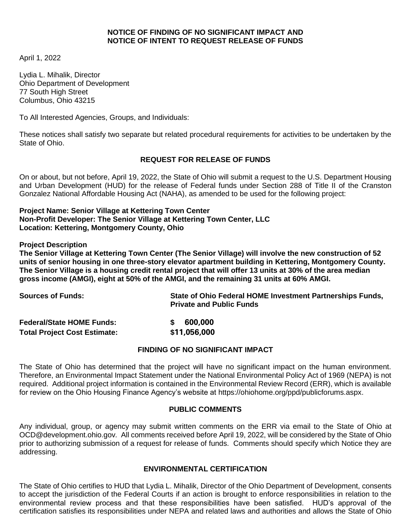## **NOTICE OF FINDING OF NO SIGNIFICANT IMPACT AND NOTICE OF INTENT TO REQUEST RELEASE OF FUNDS**

April 1, 2022

Lydia L. Mihalik, Director Ohio Department of Development 77 South High Street Columbus, Ohio 43215

To All Interested Agencies, Groups, and Individuals:

These notices shall satisfy two separate but related procedural requirements for activities to be undertaken by the State of Ohio.

# **REQUEST FOR RELEASE OF FUNDS**

On or about, but not before, April 19, 2022, the State of Ohio will submit a request to the U.S. Department Housing and Urban Development (HUD) for the release of Federal funds under Section 288 of Title II of the Cranston Gonzalez National Affordable Housing Act (NAHA), as amended to be used for the following project:

### **Project Name: Senior Village at Kettering Town Center Non-Profit Developer: The Senior Village at Kettering Town Center, LLC Location: Kettering, Montgomery County, Ohio**

**Project Description**

**The Senior Village at Kettering Town Center (The Senior Village) will involve the new construction of 52 units of senior housing in one three-story elevator apartment building in Kettering, Montgomery County. The Senior Village is a housing credit rental project that will offer 13 units at 30% of the area median gross income (AMGI), eight at 50% of the AMGI, and the remaining 31 units at 60% AMGI.**

| <b>Sources of Funds:</b>            | State of Ohio Federal HOME Investment Partnerships Funds,<br><b>Private and Public Funds</b> |
|-------------------------------------|----------------------------------------------------------------------------------------------|
| <b>Federal/State HOME Funds:</b>    | 600,000                                                                                      |
| <b>Total Project Cost Estimate:</b> | \$11,056,000                                                                                 |

#### **FINDING OF NO SIGNIFICANT IMPACT**

The State of Ohio has determined that the project will have no significant impact on the human environment. Therefore, an Environmental Impact Statement under the National Environmental Policy Act of 1969 (NEPA) is not required. Additional project information is contained in the Environmental Review Record (ERR), which is available for review on the Ohio Housing Finance Agency's website at https://ohiohome.org/ppd/publicforums.aspx.

#### **PUBLIC COMMENTS**

Any individual, group, or agency may submit written comments on the ERR via email to the State of Ohio at OCD@development.ohio.gov*.* All comments received before April 19, 2022, will be considered by the State of Ohio prior to authorizing submission of a request for release of funds. Comments should specify which Notice they are addressing.

#### **ENVIRONMENTAL CERTIFICATION**

The State of Ohio certifies to HUD that Lydia L. Mihalik, Director of the Ohio Department of Development, consents to accept the jurisdiction of the Federal Courts if an action is brought to enforce responsibilities in relation to the environmental review process and that these responsibilities have been satisfied. HUD's approval of the certification satisfies its responsibilities under NEPA and related laws and authorities and allows the State of Ohio